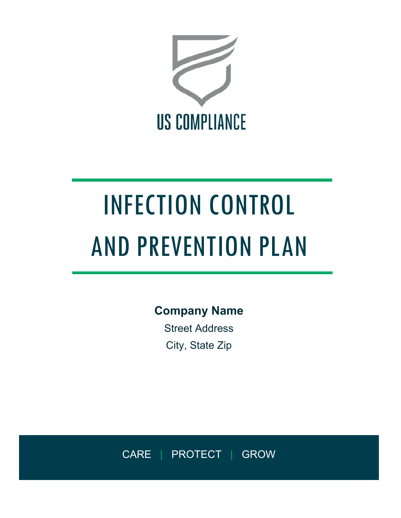

# INFECTION CONTROL AND PREVENTION PLAN

**Company Name**

Street Address City, State Zip

CARE | PROTECT | GROW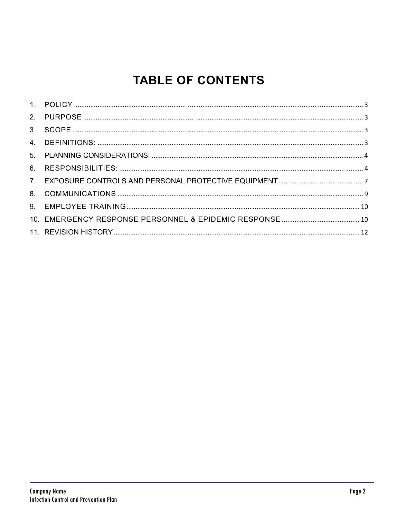# **TABLE OF CONTENTS**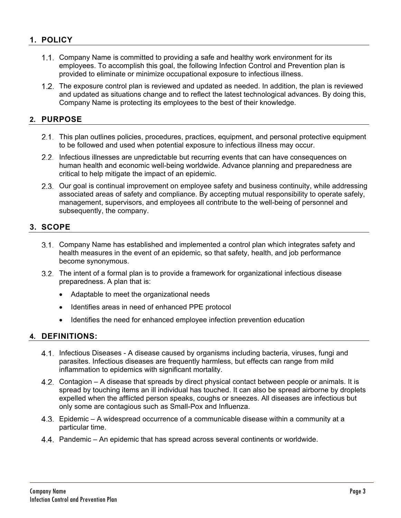# **1. POLICY**

- Company Name is committed to providing a safe and healthy work environment for its employees. To accomplish this goal, the following Infection Control and Prevention plan is provided to eliminate or minimize occupational exposure to infectious illness.
- The exposure control plan is reviewed and updated as needed. In addition, the plan is reviewed and updated as situations change and to reflect the latest technological advances. By doing this, Company Name is protecting its employees to the best of their knowledge.

# **2. PURPOSE**

- 2.1. This plan outlines policies, procedures, practices, equipment, and personal protective equipment to be followed and used when potential exposure to infectious illness may occur.
- 2.2. Infectious illnesses are unpredictable but recurring events that can have consequences on human health and economic well-being worldwide. Advance planning and preparedness are critical to help mitigate the impact of an epidemic.
- 2.3. Our goal is continual improvement on employee safety and business continuity, while addressing associated areas of safety and compliance. By accepting mutual responsibility to operate safely, management, supervisors, and employees all contribute to the well-being of personnel and subsequently, the company.

# **3. SCOPE**

- Company Name has established and implemented a control plan which integrates safety and health measures in the event of an epidemic, so that safety, health, and job performance become synonymous.
- The intent of a formal plan is to provide a framework for organizational infectious disease preparedness. A plan that is:
	- Adaptable to meet the organizational needs
	- Identifies areas in need of enhanced PPE protocol
	- Identifies the need for enhanced employee infection prevention education

# **4. DEFINITIONS:**

- 4.1. Infectious Diseases A disease caused by organisms including bacteria, viruses, fungi and parasites. Infectious diseases are frequently harmless, but effects can range from mild inflammation to epidemics with significant mortality.
- 4.2. Contagion A disease that spreads by direct physical contact between people or animals. It is spread by touching items an ill individual has touched. It can also be spread airborne by droplets expelled when the afflicted person speaks, coughs or sneezes. All diseases are infectious but only some are contagious such as Small-Pox and Influenza.
- Epidemic A widespread occurrence of a communicable disease within a community at a particular time.
- Pandemic An epidemic that has spread across several continents or worldwide.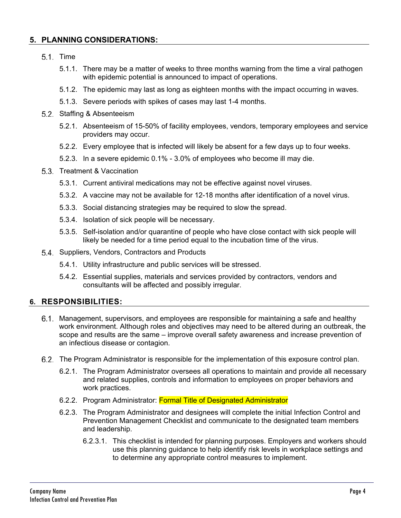### **5. PLANNING CONSIDERATIONS:**

- $5.1.$  Time
	- 5.1.1. There may be a matter of weeks to three months warning from the time a viral pathogen with epidemic potential is announced to impact of operations.
	- 5.1.2. The epidemic may last as long as eighteen months with the impact occurring in waves.
	- 5.1.3. Severe periods with spikes of cases may last 1-4 months.
- 5.2. Staffing & Absenteeism
	- 5.2.1. Absenteeism of 15-50% of facility employees, vendors, temporary employees and service providers may occur.
	- 5.2.2. Every employee that is infected will likely be absent for a few days up to four weeks.
	- 5.2.3. In a severe epidemic 0.1% 3.0% of employees who become ill may die.
- 5.3. Treatment & Vaccination
	- 5.3.1. Current antiviral medications may not be effective against novel viruses.
	- 5.3.2. A vaccine may not be available for 12-18 months after identification of a novel virus.
	- 5.3.3. Social distancing strategies may be required to slow the spread.
	- 5.3.4. Isolation of sick people will be necessary.
	- 5.3.5. Self-isolation and/or quarantine of people who have close contact with sick people will likely be needed for a time period equal to the incubation time of the virus.
- 5.4. Suppliers, Vendors, Contractors and Products
	- 5.4.1. Utility infrastructure and public services will be stressed.
	- 5.4.2. Essential supplies, materials and services provided by contractors, vendors and consultants will be affected and possibly irregular.

#### **6. RESPONSIBILITIES:**

- Management, supervisors, and employees are responsible for maintaining a safe and healthy work environment. Although roles and objectives may need to be altered during an outbreak, the scope and results are the same – improve overall safety awareness and increase prevention of an infectious disease or contagion.
- The Program Administrator is responsible for the implementation of this exposure control plan.
	- 6.2.1. The Program Administrator oversees all operations to maintain and provide all necessary and related supplies, controls and information to employees on proper behaviors and work practices.
	- 6.2.2. Program Administrator: Formal Title of Designated Administrator
	- 6.2.3. The Program Administrator and designees will complete the initial Infection Control and Prevention Management Checklist and communicate to the designated team members and leadership.
		- 6.2.3.1. This checklist is intended for planning purposes. Employers and workers should use this planning guidance to help identify risk levels in workplace settings and to determine any appropriate control measures to implement.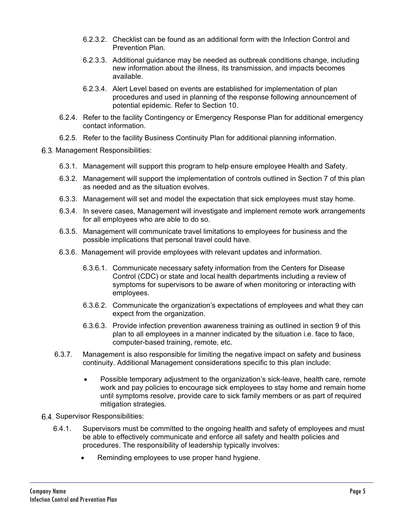- 6.2.3.2. Checklist can be found as an additional form with the Infection Control and Prevention Plan.
- 6.2.3.3. Additional guidance may be needed as outbreak conditions change, including new information about the illness, its transmission, and impacts becomes available.
- 6.2.3.4. Alert Level based on events are established for implementation of plan procedures and used in planning of the response following announcement of potential epidemic. Refer to Section 10.
- 6.2.4. Refer to the facility Contingency or Emergency Response Plan for additional emergency contact information.
- 6.2.5. Refer to the facility Business Continuity Plan for additional planning information.
- 6.3. Management Responsibilities:
	- 6.3.1. Management will support this program to help ensure employee Health and Safety.
	- 6.3.2. Management will support the implementation of controls outlined in Section 7 of this plan as needed and as the situation evolves.
	- 6.3.3. Management will set and model the expectation that sick employees must stay home.
	- 6.3.4. In severe cases, Management will investigate and implement remote work arrangements for all employees who are able to do so.
	- 6.3.5. Management will communicate travel limitations to employees for business and the possible implications that personal travel could have.
	- 6.3.6. Management will provide employees with relevant updates and information.
		- 6.3.6.1. Communicate necessary safety information from the Centers for Disease Control (CDC) or state and local health departments including a review of symptoms for supervisors to be aware of when monitoring or interacting with employees.
		- 6.3.6.2. Communicate the organization's expectations of employees and what they can expect from the organization.
		- 6.3.6.3. Provide infection prevention awareness training as outlined in section 9 of this plan to all employees in a manner indicated by the situation i.e. face to face, computer-based training, remote, etc.
	- 6.3.7. Management is also responsible for limiting the negative impact on safety and business continuity. Additional Management considerations specific to this plan include:
		- Possible temporary adjustment to the organization's sick-leave, health care, remote work and pay policies to encourage sick employees to stay home and remain home until symptoms resolve, provide care to sick family members or as part of required mitigation strategies.
- 6.4. Supervisor Responsibilities:
	- 6.4.1. Supervisors must be committed to the ongoing health and safety of employees and must be able to effectively communicate and enforce all safety and health policies and procedures. The responsibility of leadership typically involves:
		- Reminding employees to use proper hand hygiene.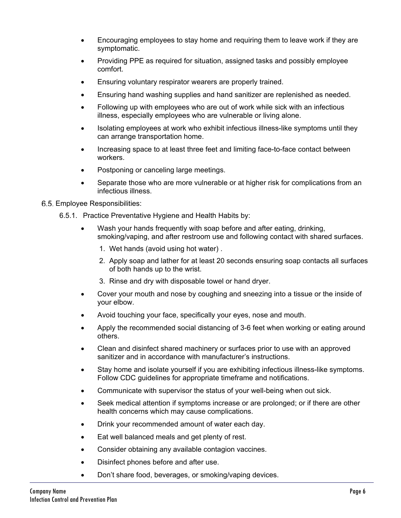- Encouraging employees to stay home and requiring them to leave work if they are symptomatic.
- Providing PPE as required for situation, assigned tasks and possibly employee comfort.
- Ensuring voluntary respirator wearers are properly trained.
- Ensuring hand washing supplies and hand sanitizer are replenished as needed.
- Following up with employees who are out of work while sick with an infectious illness, especially employees who are vulnerable or living alone.
- Isolating employees at work who exhibit infectious illness-like symptoms until they can arrange transportation home.
- Increasing space to at least three feet and limiting face-to-face contact between workers.
- Postponing or canceling large meetings.
- Separate those who are more vulnerable or at higher risk for complications from an infectious illness.

#### Employee Responsibilities:

- 6.5.1. Practice Preventative Hygiene and Health Habits by:
	- Wash your hands frequently with soap before and after eating, drinking, smoking/vaping, and after restroom use and following contact with shared surfaces.
		- 1. Wet hands (avoid using hot water) .
		- 2. Apply soap and lather for at least 20 seconds ensuring soap contacts all surfaces of both hands up to the wrist.
		- 3. Rinse and dry with disposable towel or hand dryer.
	- Cover your mouth and nose by coughing and sneezing into a tissue or the inside of your elbow.
	- Avoid touching your face, specifically your eyes, nose and mouth.
	- Apply the recommended social distancing of 3-6 feet when working or eating around others.
	- Clean and disinfect shared machinery or surfaces prior to use with an approved sanitizer and in accordance with manufacturer's instructions.
	- Stay home and isolate yourself if you are exhibiting infectious illness-like symptoms. Follow CDC guidelines for appropriate timeframe and notifications.
	- Communicate with supervisor the status of your well-being when out sick.
	- Seek medical attention if symptoms increase or are prolonged; or if there are other health concerns which may cause complications.
	- Drink your recommended amount of water each day.
	- Eat well balanced meals and get plenty of rest.
	- Consider obtaining any available contagion vaccines.
	- Disinfect phones before and after use.
	- Don't share food, beverages, or smoking/vaping devices.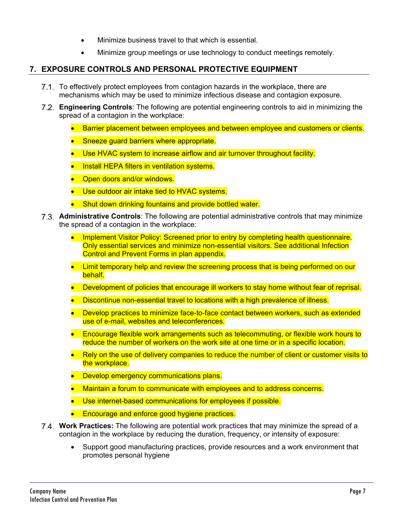- Minimize business travel to that which is essential.
- Minimize group meetings or use technology to conduct meetings remotely.

# **7. EXPOSURE CONTROLS AND PERSONAL PROTECTIVE EQUIPMENT**

- 7.1. To effectively protect employees from contagion hazards in the workplace, there are mechanisms which may be used to minimize infectious disease and contagion exposure.
- **Engineering Controls**: The following are potential engineering controls to aid in minimizing the spread of a contagion in the workplace:
	- **Barrier placement between employees and between employee and customers or clients.**
	- Sneeze guard barriers where appropriate.
	- Use HVAC system to increase airflow and air turnover throughout facility.
	- **•** Install HEPA filters in ventilation systems.
	- Open doors and/or windows.
	- **Use outdoor air intake tied to HVAC systems.**
	- Shut down drinking fountains and provide bottled water.
- **Administrative Controls**: The following are potential administrative controls that may minimize the spread of a contagion in the workplace:
	- Implement Visitor Policy: Screened prior to entry by completing health questionnaire. Only essential services and minimize non-essential visitors. See additional Infection Control and Prevent Forms in plan appendix.
	- Limit temporary help and review the screening process that is being performed on our **behalf**
	- Development of policies that encourage ill workers to stay home without fear of reprisal.
	- **Discontinue non-essential travel to locations with a high prevalence of illness.**
	- Develop practices to minimize face-to-face contact between workers, such as extended use of e-mail, websites and teleconferences.
	- **Encourage flexible work arrangements such as telecommuting, or flexible work hours to** reduce the number of workers on the work site at one time or in a specific location.
	- Rely on the use of delivery companies to reduce the number of client or customer visits to the workplace.
	- **•** Develop emergency communications plans.
	- Maintain a forum to communicate with employees and to address concerns.
	- Use internet-based communications for employees if possible.
	- **Encourage and enforce good hygiene practices.**
- **Work Practices:** The following are potential work practices that may minimize the spread of a contagion in the workplace by reducing the duration, frequency, or intensity of exposure:
	- Support good manufacturing practices, provide resources and a work environment that promotes personal hygiene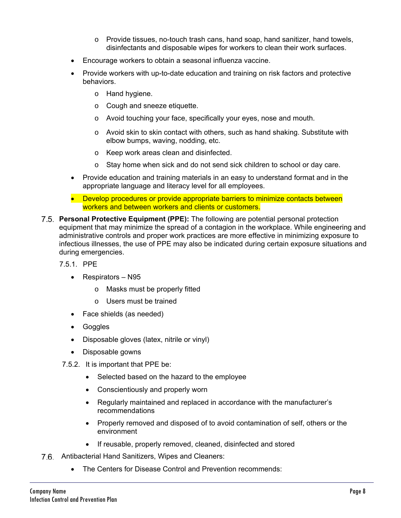- o Provide tissues, no-touch trash cans, hand soap, hand sanitizer, hand towels, disinfectants and disposable wipes for workers to clean their work surfaces.
- Encourage workers to obtain a seasonal influenza vaccine.
- Provide workers with up-to-date education and training on risk factors and protective behaviors.
	- o Hand hygiene.
	- o Cough and sneeze etiquette.
	- o Avoid touching your face, specifically your eyes, nose and mouth.
	- $\circ$  Avoid skin to skin contact with others, such as hand shaking. Substitute with elbow bumps, waving, nodding, etc.
	- o Keep work areas clean and disinfected.
	- o Stay home when sick and do not send sick children to school or day care.
- Provide education and training materials in an easy to understand format and in the appropriate language and literacy level for all employees.
- Develop procedures or provide appropriate barriers to minimize contacts between workers and between workers and clients or customers.
- **Personal Protective Equipment (PPE):** The following are potential personal protection equipment that may minimize the spread of a contagion in the workplace. While engineering and administrative controls and proper work practices are more effective in minimizing exposure to infectious illnesses, the use of PPE may also be indicated during certain exposure situations and during emergencies.
	- 7.5.1. PPE
		- Respirators N95
			- o Masks must be properly fitted
			- o Users must be trained
		- Face shields (as needed)
		- Goggles
		- Disposable gloves (latex, nitrile or vinyl)
		- Disposable gowns
	- 7.5.2. It is important that PPE be:
		- Selected based on the hazard to the employee
		- Conscientiously and properly worn
		- Regularly maintained and replaced in accordance with the manufacturer's recommendations
		- Properly removed and disposed of to avoid contamination of self, others or the environment
		- If reusable, properly removed, cleaned, disinfected and stored
- 7.6. Antibacterial Hand Sanitizers, Wipes and Cleaners:
	- The Centers for Disease Control and Prevention recommends: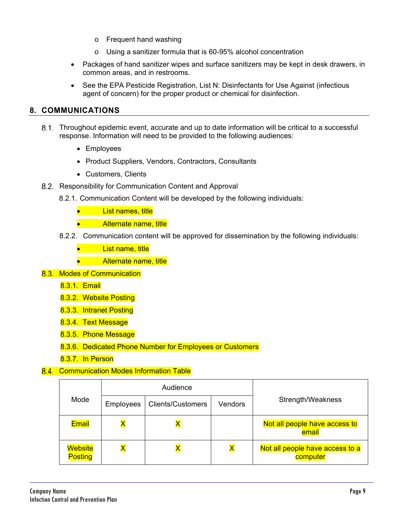- o Frequent hand washing
- o Using a sanitizer formula that is 60-95% alcohol concentration
- Packages of hand sanitizer wipes and surface sanitizers may be kept in desk drawers, in common areas, and in restrooms.
- See the EPA Pesticide Registration, List N: Disinfectants for Use Against (infectious agent of concern) for the proper product or chemical for disinfection.

#### **8. COMMUNICATIONS**

- Throughout epidemic event, accurate and up to date information will be critical to a successful response. Information will need to be provided to the following audiences:
	- Employees
	- Product Suppliers, Vendors, Contractors, Consultants
	- Customers, Clients
- 8.2. Responsibility for Communication Content and Approval
	- 8.2.1. Communication Content will be developed by the following individuals:
		- **.** List names, title
		- **•** Alternate name, title
	- 8.2.2. Communication content will be approved for dissemination by the following individuals:
		- List name, title
		- **Alternate name, title**
- 8.3. Modes of Communication
	- 8.3.1. Email
	- 8.3.2. Website Posting
	- 8.3.3. Intranet Posting
	- 8.3.4. Text Message
	- 8.3.5. Phone Message
	- 8.3.6. Dedicated Phone Number for Employees or Customers
	- 8.3.7. In Person

#### 8.4. Communication Modes Information Table

|                                  | Audience         |                          |         |                                             |
|----------------------------------|------------------|--------------------------|---------|---------------------------------------------|
| Mode                             | <b>Employees</b> | <b>Clients/Customers</b> | Vendors | Strength/Weakness                           |
| <b>Email</b>                     |                  |                          |         | Not all people have access to<br>email      |
| <b>Website</b><br><b>Posting</b> |                  |                          |         | Not all people have access to a<br>computer |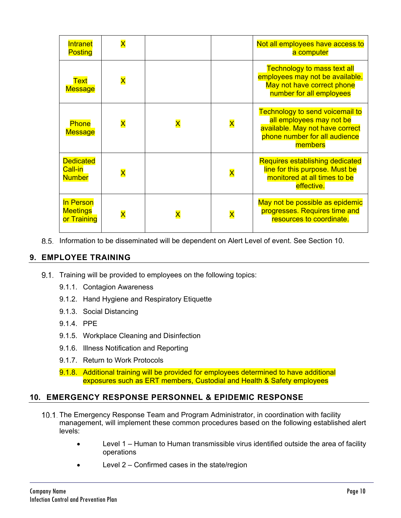| Intranet<br><b>Posting</b>                   | $\overline{\mathsf{x}}$ |                         |                         | Not all employees have access to<br>a computer                                                                                                    |
|----------------------------------------------|-------------------------|-------------------------|-------------------------|---------------------------------------------------------------------------------------------------------------------------------------------------|
| <b>Text</b><br><b>Message</b>                | $\overline{\mathsf{X}}$ |                         |                         | <b>Technology to mass text all</b><br>employees may not be available.<br>May not have correct phone<br>number for all employees                   |
| <b>Phone</b><br><b>Message</b>               | $\overline{\mathsf{x}}$ | $\overline{\mathsf{x}}$ | $\overline{\mathsf{x}}$ | <b>Technology to send voicemail to</b><br>all employees may not be<br>available. May not have correct<br>phone number for all audience<br>members |
| <b>Dedicated</b><br>Call-in<br><b>Number</b> | $\overline{\mathsf{x}}$ |                         | $\overline{\mathsf{X}}$ | <b>Requires establishing dedicated</b><br>line for this purpose. Must be<br>monitored at all times to be<br>effective.                            |
| In Person<br><b>Meetings</b><br>or Training  | $\overline{\textsf{x}}$ | $\overline{\mathsf{x}}$ | $\overline{\mathsf{x}}$ | May not be possible as epidemic<br>progresses. Requires time and<br>resources to coordinate.                                                      |

8.5. Information to be disseminated will be dependent on Alert Level of event. See Section 10.

# **9. EMPLOYEE TRAINING**

- 9.1. Training will be provided to employees on the following topics:
	- 9.1.1. Contagion Awareness
	- 9.1.2. Hand Hygiene and Respiratory Etiquette
	- 9.1.3. Social Distancing
	- 9.1.4. PPE
	- 9.1.5. Workplace Cleaning and Disinfection
	- 9.1.6. Illness Notification and Reporting
	- 9.1.7. Return to Work Protocols

9.1.8. Additional training will be provided for employees determined to have additional exposures such as ERT members, Custodial and Health & Safety employees

# **10. EMERGENCY RESPONSE PERSONNEL & EPIDEMIC RESPONSE**

- 10.1. The Emergency Response Team and Program Administrator, in coordination with facility management, will implement these common procedures based on the following established alert levels:
	- Level 1 Human to Human transmissible virus identified outside the area of facility operations
	- Level 2 Confirmed cases in the state/region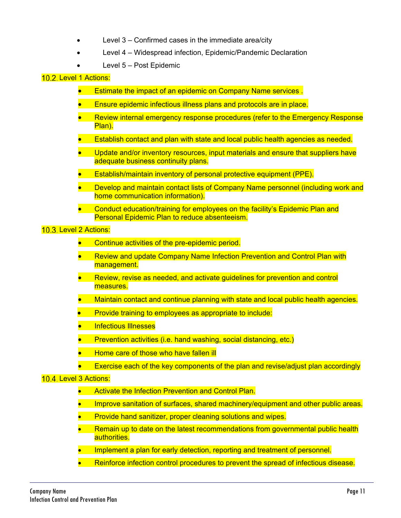- Level 3 Confirmed cases in the immediate area/city
- Level 4 Widespread infection, Epidemic/Pandemic Declaration
- Level 5 Post Epidemic

#### 10.2. Level 1 Actions:

- Estimate the impact of an epidemic on Company Name services .
- Ensure epidemic infectious illness plans and protocols are in place.
- Review internal emergency response procedures (refer to the Emergency Response Plan).
- **Establish contact and plan with state and local public health agencies as needed.**
- Update and/or inventory resources, input materials and ensure that suppliers have adequate business continuity plans.
- Establish/maintain inventory of personal protective equipment (PPE).
- Develop and maintain contact lists of Company Name personnel (including work and home communication information).
- Conduct education/training for employees on the facility's Epidemic Plan and Personal Epidemic Plan to reduce absenteeism.

10.3. Level 2 Actions:

- Continue activities of the pre-epidemic period.
- Review and update Company Name Infection Prevention and Control Plan with management.
- Review, revise as needed, and activate quidelines for prevention and control measures.
- Maintain contact and continue planning with state and local public health agencies.
- Provide training to employees as appropriate to include:
- Infectious Illnesses
- Prevention activities (i.e. hand washing, social distancing, etc.)
- Home care of those who have fallen ill
	- Exercise each of the key components of the plan and revise/adjust plan accordingly

#### 10.4. Level 3 Actions:

- Activate the Infection Prevention and Control Plan.
- **IMPROVE Sanitation of surfaces, shared machinery/equipment and other public areas.**
- Provide hand sanitizer, proper cleaning solutions and wipes.
- Remain up to date on the latest recommendations from governmental public health authorities.
- Implement a plan for early detection, reporting and treatment of personnel.
- Reinforce infection control procedures to prevent the spread of infectious disease.